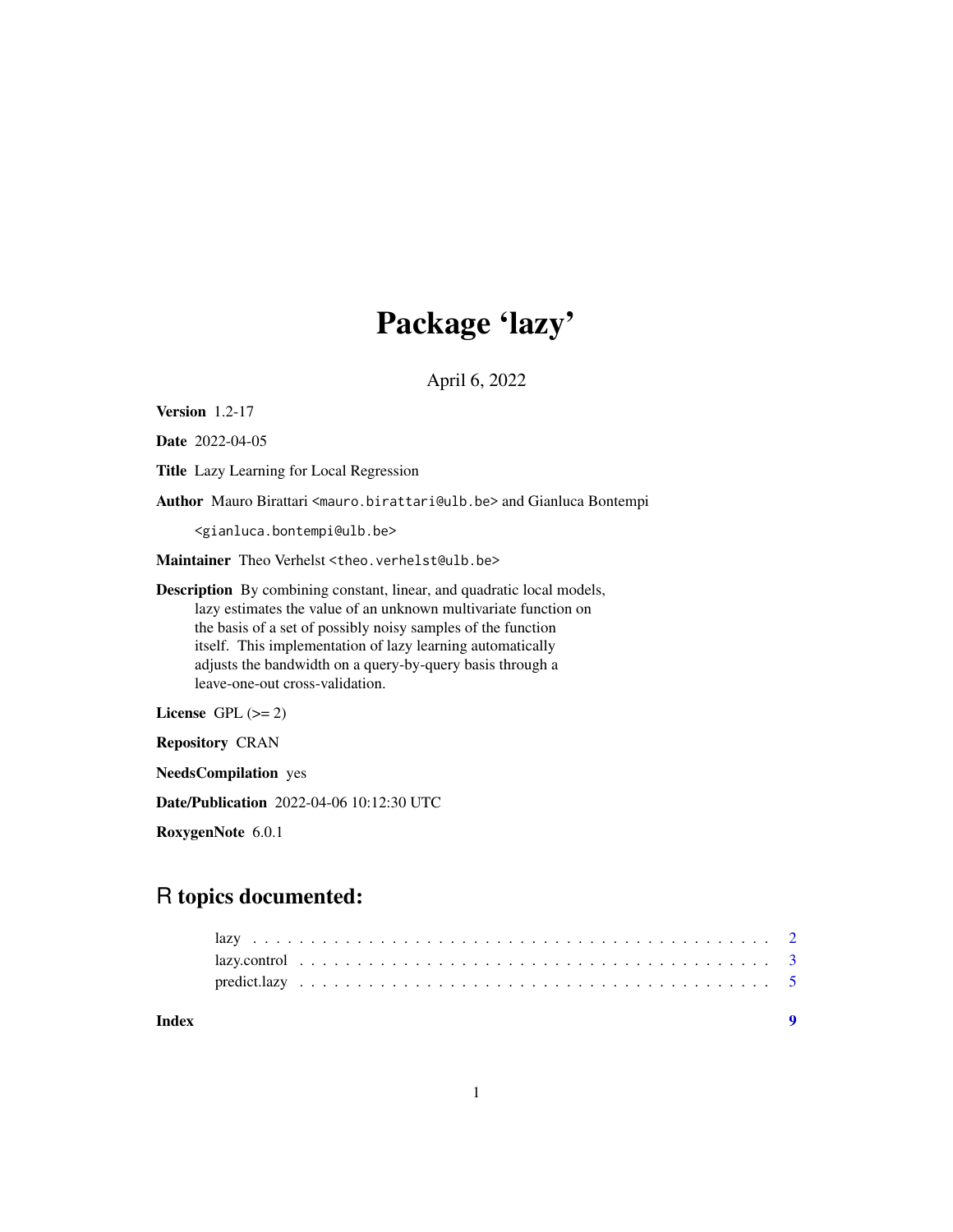# Package 'lazy'

April 6, 2022

Version 1.2-17

Date 2022-04-05

Title Lazy Learning for Local Regression

Author Mauro Birattari <mauro.birattari@ulb.be> and Gianluca Bontempi

<gianluca.bontempi@ulb.be>

Maintainer Theo Verhelst <theo.verhelst@ulb.be>

Description By combining constant, linear, and quadratic local models, lazy estimates the value of an unknown multivariate function on the basis of a set of possibly noisy samples of the function itself. This implementation of lazy learning automatically adjusts the bandwidth on a query-by-query basis through a leave-one-out cross-validation.

License GPL  $(>= 2)$ 

Repository CRAN

NeedsCompilation yes

Date/Publication 2022-04-06 10:12:30 UTC

RoxygenNote 6.0.1

# R topics documented:

**Index** [9](#page-8-0)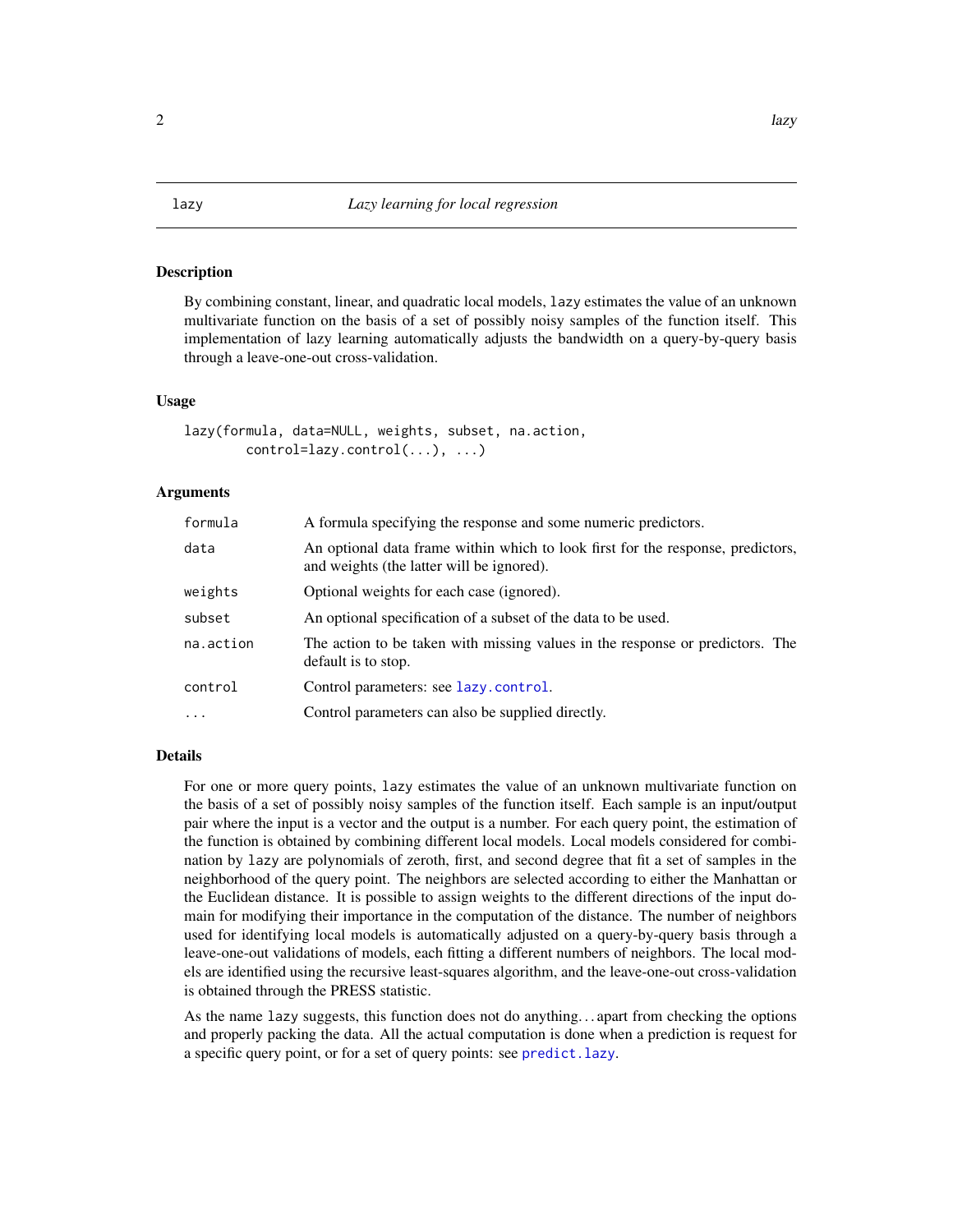#### <span id="page-1-1"></span><span id="page-1-0"></span>Description

By combining constant, linear, and quadratic local models, lazy estimates the value of an unknown multivariate function on the basis of a set of possibly noisy samples of the function itself. This implementation of lazy learning automatically adjusts the bandwidth on a query-by-query basis through a leave-one-out cross-validation.

#### Usage

```
lazy(formula, data=NULL, weights, subset, na.action,
       control=lazy.control(...), ...)
```
#### Arguments

| formula   | A formula specifying the response and some numeric predictors.                                                               |
|-----------|------------------------------------------------------------------------------------------------------------------------------|
| data      | An optional data frame within which to look first for the response, predictors,<br>and weights (the latter will be ignored). |
| weights   | Optional weights for each case (ignored).                                                                                    |
| subset    | An optional specification of a subset of the data to be used.                                                                |
| na.action | The action to be taken with missing values in the response or predictors. The<br>default is to stop.                         |
| control   | Control parameters: see lazy.control.                                                                                        |
| .         | Control parameters can also be supplied directly.                                                                            |
|           |                                                                                                                              |

#### Details

For one or more query points, lazy estimates the value of an unknown multivariate function on the basis of a set of possibly noisy samples of the function itself. Each sample is an input/output pair where the input is a vector and the output is a number. For each query point, the estimation of the function is obtained by combining different local models. Local models considered for combination by lazy are polynomials of zeroth, first, and second degree that fit a set of samples in the neighborhood of the query point. The neighbors are selected according to either the Manhattan or the Euclidean distance. It is possible to assign weights to the different directions of the input domain for modifying their importance in the computation of the distance. The number of neighbors used for identifying local models is automatically adjusted on a query-by-query basis through a leave-one-out validations of models, each fitting a different numbers of neighbors. The local models are identified using the recursive least-squares algorithm, and the leave-one-out cross-validation is obtained through the PRESS statistic.

As the name lazy suggests, this function does not do anything. . . apart from checking the options and properly packing the data. All the actual computation is done when a prediction is request for a specific query point, or for a set of query points: see [predict.lazy](#page-4-1).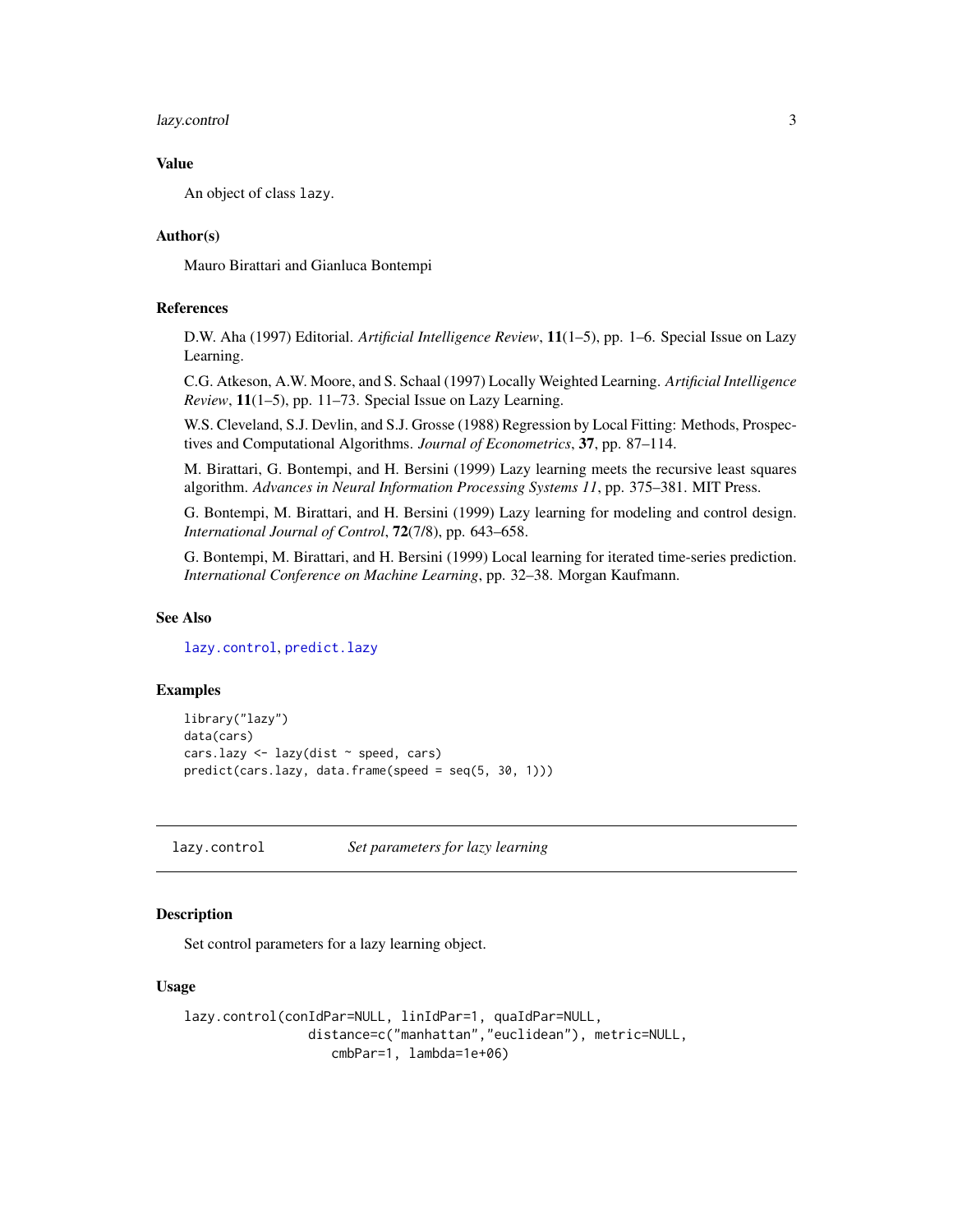#### <span id="page-2-0"></span>lazy.control 3

#### Value

An object of class lazy.

#### Author(s)

Mauro Birattari and Gianluca Bontempi

#### References

D.W. Aha (1997) Editorial. *Artificial Intelligence Review*, 11(1–5), pp. 1–6. Special Issue on Lazy Learning.

C.G. Atkeson, A.W. Moore, and S. Schaal (1997) Locally Weighted Learning. *Artificial Intelligence Review*, 11(1–5), pp. 11–73. Special Issue on Lazy Learning.

W.S. Cleveland, S.J. Devlin, and S.J. Grosse (1988) Regression by Local Fitting: Methods, Prospectives and Computational Algorithms. *Journal of Econometrics*, 37, pp. 87–114.

M. Birattari, G. Bontempi, and H. Bersini (1999) Lazy learning meets the recursive least squares algorithm. *Advances in Neural Information Processing Systems 11*, pp. 375–381. MIT Press.

G. Bontempi, M. Birattari, and H. Bersini (1999) Lazy learning for modeling and control design. *International Journal of Control*, 72(7/8), pp. 643–658.

G. Bontempi, M. Birattari, and H. Bersini (1999) Local learning for iterated time-series prediction. *International Conference on Machine Learning*, pp. 32–38. Morgan Kaufmann.

#### See Also

[lazy.control](#page-2-1), [predict.lazy](#page-4-1)

#### Examples

```
library("lazy")
data(cars)
cars.lazy <- lazy(dist ~ speed, cars)
predict(cars.lazy, data.frame(speed = seq(5, 30, 1)))
```
<span id="page-2-1"></span>lazy.control *Set parameters for lazy learning*

#### Description

Set control parameters for a lazy learning object.

#### Usage

```
lazy.control(conIdPar=NULL, linIdPar=1, quaIdPar=NULL,
               distance=c("manhattan","euclidean"), metric=NULL,
                  cmbPar=1, lambda=1e+06)
```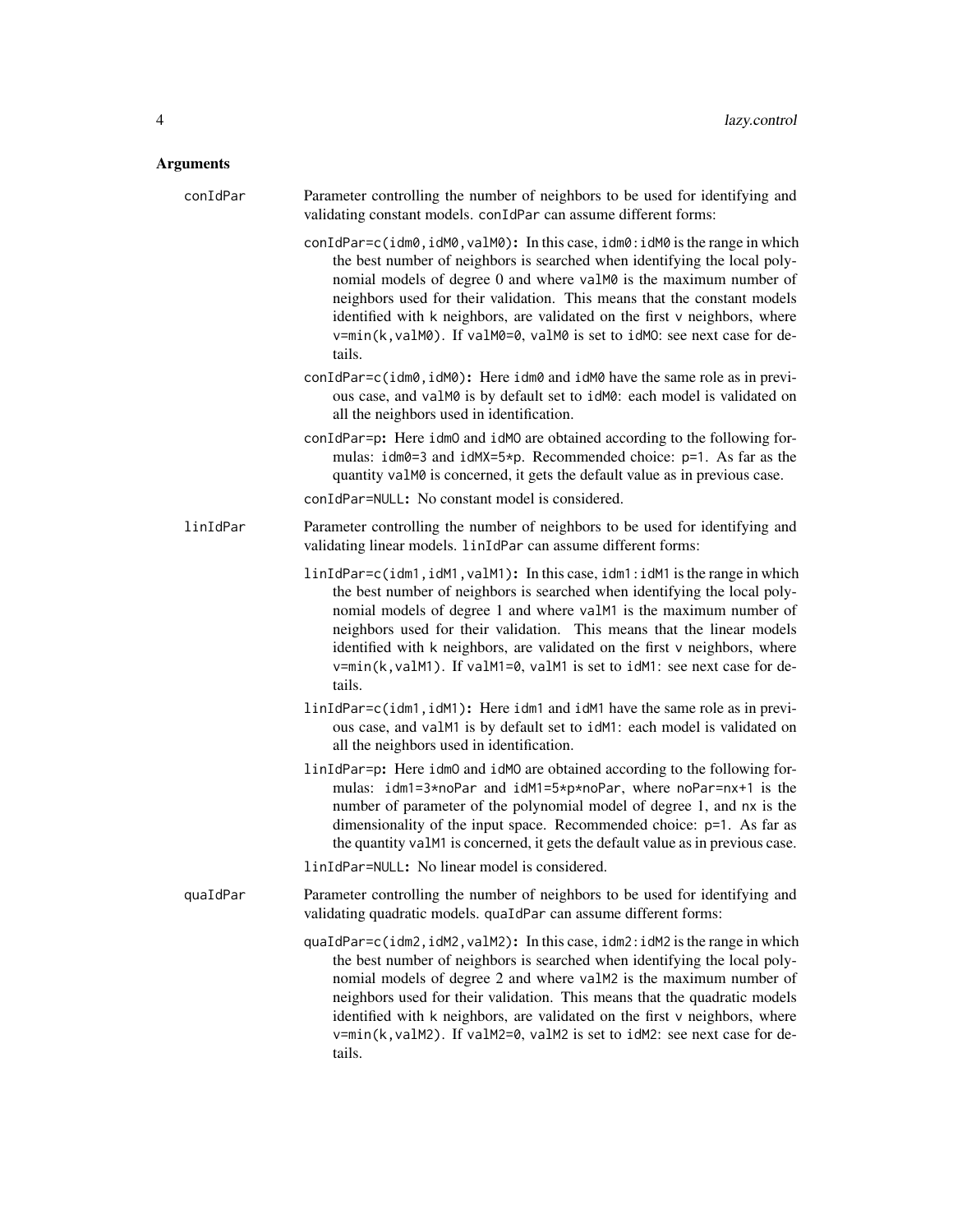## Arguments

| conIdPar | Parameter controlling the number of neighbors to be used for identifying and<br>validating constant models. conIdPar can assume different forms:                                                                                                                                                                                                                                                                                                                                  |
|----------|-----------------------------------------------------------------------------------------------------------------------------------------------------------------------------------------------------------------------------------------------------------------------------------------------------------------------------------------------------------------------------------------------------------------------------------------------------------------------------------|
|          | conIdPar=c(idm0, idM0, valM0): In this case, idm0: idM0 is the range in which<br>the best number of neighbors is searched when identifying the local poly-<br>nomial models of degree 0 and where valM0 is the maximum number of<br>neighbors used for their validation. This means that the constant models<br>identified with k neighbors, are validated on the first v neighbors, where<br>v=min(k, valM0). If valM0=0, valM0 is set to idM0: see next case for de-<br>tails.  |
|          | conIdPar=c(idm0, idM0): Here idm0 and idM0 have the same role as in previ-<br>ous case, and valM0 is by default set to idM0: each model is validated on<br>all the neighbors used in identification.                                                                                                                                                                                                                                                                              |
|          | conIdPar=p: Here idm0 and idM0 are obtained according to the following for-<br>mulas: $idm0=3$ and $idMX=5*pi$ . Recommended choice: $p=1$ . As far as the<br>quantity valM0 is concerned, it gets the default value as in previous case.<br>conIdPar=NULL: No constant model is considered.                                                                                                                                                                                      |
| linIdPar | Parameter controlling the number of neighbors to be used for identifying and<br>validating linear models. linIdPar can assume different forms:                                                                                                                                                                                                                                                                                                                                    |
|          | linIdPar=c(idm1,idM1,valM1): In this case, idm1:idM1 is the range in which<br>the best number of neighbors is searched when identifying the local poly-<br>nomial models of degree 1 and where valM1 is the maximum number of<br>neighbors used for their validation. This means that the linear models<br>identified with k neighbors, are validated on the first v neighbors, where<br>v=min(k, valM1). If valM1=0, valM1 is set to idM1: see next case for de-<br>tails.       |
|          | linIdPar=c(idm1, idM1): Here idm1 and idM1 have the same role as in previ-<br>ous case, and valM1 is by default set to idM1: each model is validated on<br>all the neighbors used in identification.                                                                                                                                                                                                                                                                              |
|          | linIdPar=p: Here idm0 and idM0 are obtained according to the following for-<br>mulas: idm1=3*noPar and idM1=5*p*noPar, where noPar=nx+1 is the<br>number of parameter of the polynomial model of degree 1, and nx is the<br>dimensionality of the input space. Recommended choice: p=1. As far as<br>the quantity valM1 is concerned, it gets the default value as in previous case.                                                                                              |
|          | linIdPar=NULL: No linear model is considered.                                                                                                                                                                                                                                                                                                                                                                                                                                     |
| quaIdPar | Parameter controlling the number of neighbors to be used for identifying and<br>validating quadratic models. quaIdPar can assume different forms:                                                                                                                                                                                                                                                                                                                                 |
|          | quaIdPar=c(idm2, idM2, valM2): In this case, idm2: idM2 is the range in which<br>the best number of neighbors is searched when identifying the local poly-<br>nomial models of degree 2 and where valM2 is the maximum number of<br>neighbors used for their validation. This means that the quadratic models<br>identified with k neighbors, are validated on the first v neighbors, where<br>v=min(k, valM2). If valM2=0, valM2 is set to idM2: see next case for de-<br>tails. |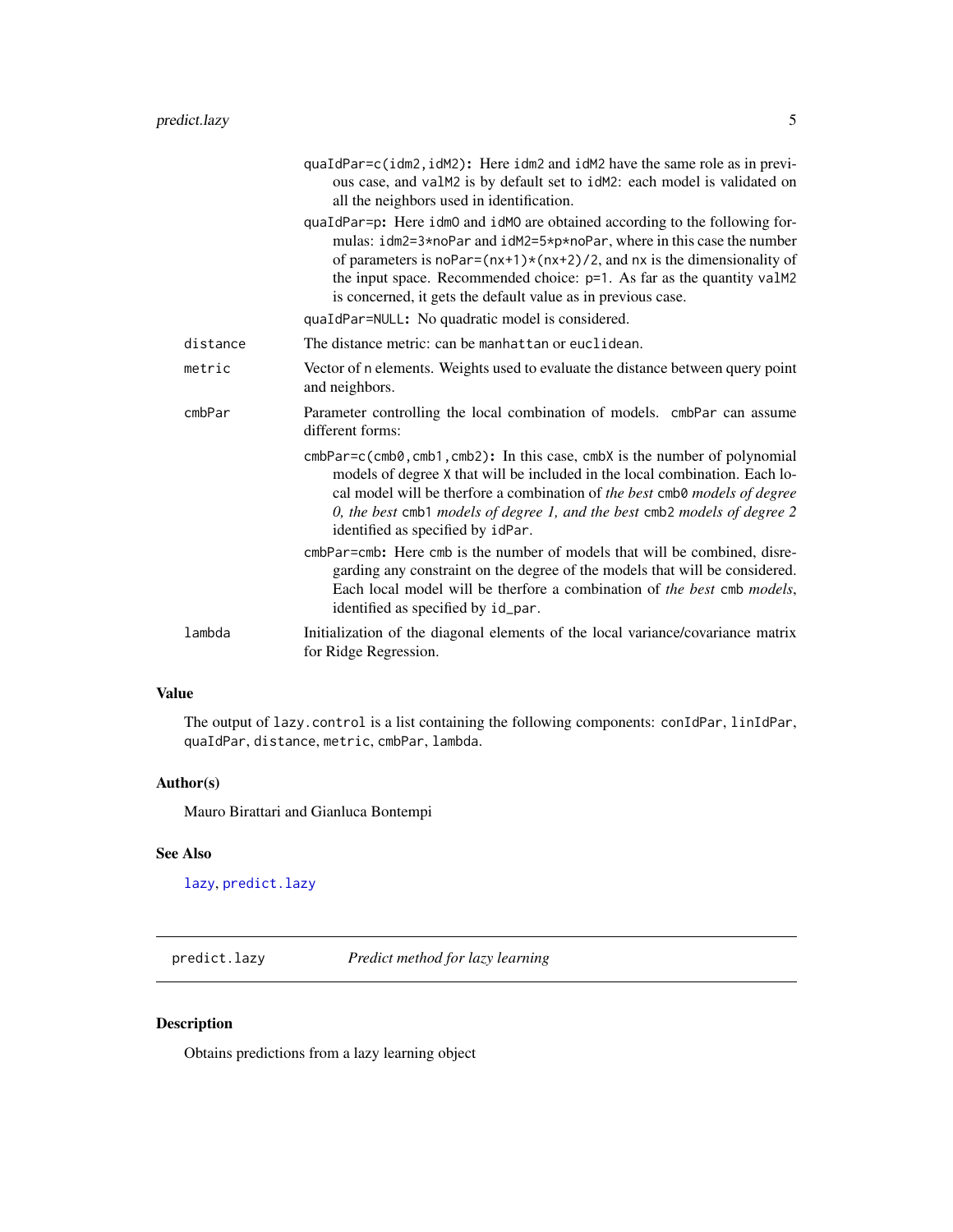<span id="page-4-0"></span>

|          | quaIdPar=c(idm2,idM2): Here idm2 and idM2 have the same role as in previ-<br>ous case, and valM2 is by default set to idM2: each model is validated on<br>all the neighbors used in identification.                                                                                                                                                                                                                               |
|----------|-----------------------------------------------------------------------------------------------------------------------------------------------------------------------------------------------------------------------------------------------------------------------------------------------------------------------------------------------------------------------------------------------------------------------------------|
|          | quaIdPar=p: Here idm0 and idM0 are obtained according to the following for-<br>mulas: idm2=3*noPar and idM2=5*p*noPar, where in this case the number<br>of parameters is noPar= $(nx+1)*(nx+2)/2$ , and nx is the dimensionality of<br>the input space. Recommended choice: p=1. As far as the quantity valM2<br>is concerned, it gets the default value as in previous case.<br>quaIdPar=NULL: No quadratic model is considered. |
| distance | The distance metric: can be manhattan or euclidean.                                                                                                                                                                                                                                                                                                                                                                               |
| metric   | Vector of n elements. Weights used to evaluate the distance between query point<br>and neighbors.                                                                                                                                                                                                                                                                                                                                 |
| cmbPar   | Parameter controlling the local combination of models. cmbPar can assume<br>different forms:                                                                                                                                                                                                                                                                                                                                      |
|          | $cmbPar=c$ ( $cmb0$ , $cmb1$ , $cmb2$ ): In this case, $cmbX$ is the number of polynomial<br>models of degree X that will be included in the local combination. Each lo-<br>cal model will be therfore a combination of the best cmb0 models of degree<br>0, the best cmb1 models of degree 1, and the best cmb2 models of degree 2<br>identified as specified by idPar.                                                          |
|          | cmbPar=cmb: Here cmb is the number of models that will be combined, disre-<br>garding any constraint on the degree of the models that will be considered.<br>Each local model will be therfore a combination of the best cmb models,<br>identified as specified by id_par.                                                                                                                                                        |
| lambda   | Initialization of the diagonal elements of the local variance/covariance matrix<br>for Ridge Regression.                                                                                                                                                                                                                                                                                                                          |

#### Value

The output of lazy.control is a list containing the following components: conIdPar, linIdPar, quaIdPar, distance, metric, cmbPar, lambda.

#### Author(s)

Mauro Birattari and Gianluca Bontempi

#### See Also

[lazy](#page-1-1), [predict.lazy](#page-4-1)

<span id="page-4-1"></span>predict.lazy *Predict method for lazy learning*

#### Description

Obtains predictions from a lazy learning object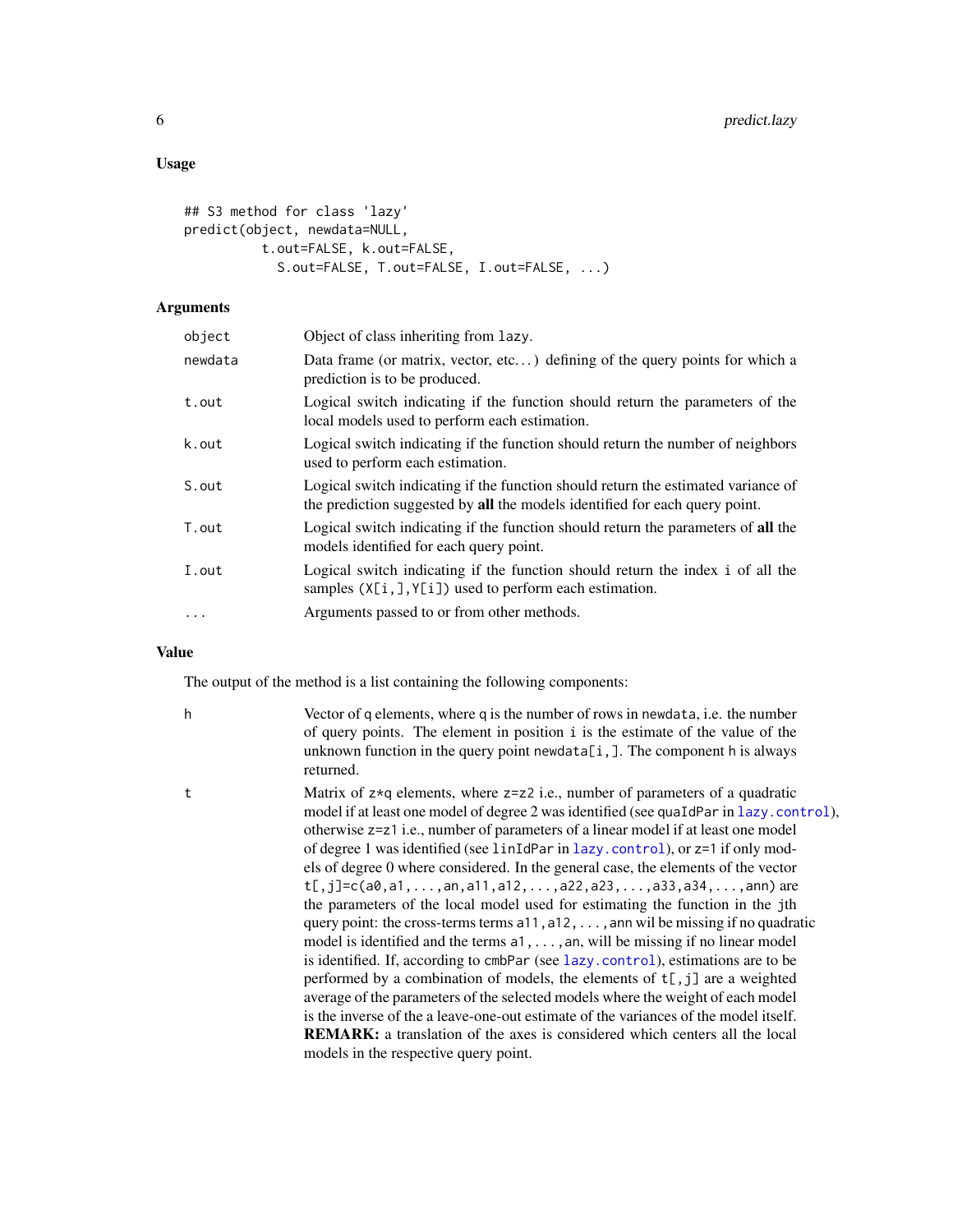#### <span id="page-5-0"></span>Usage

```
## S3 method for class 'lazy'
predict(object, newdata=NULL,
          t.out=FALSE, k.out=FALSE,
            S.out=FALSE, T.out=FALSE, I.out=FALSE, ...)
```
#### Arguments

| object   | Object of class inheriting from lazy.                                                                                                                            |
|----------|------------------------------------------------------------------------------------------------------------------------------------------------------------------|
| newdata  | Data frame (or matrix, vector, etc) defining of the query points for which a<br>prediction is to be produced.                                                    |
| t.out    | Logical switch indicating if the function should return the parameters of the<br>local models used to perform each estimation.                                   |
| k.out    | Logical switch indicating if the function should return the number of neighbors<br>used to perform each estimation.                                              |
| S.out    | Logical switch indicating if the function should return the estimated variance of<br>the prediction suggested by all the models identified for each query point. |
| T.out    | Logical switch indicating if the function should return the parameters of all the<br>models identified for each query point.                                     |
| I.out    | Logical switch indicating if the function should return the index i of all the<br>samples $(X[i,], Y[i])$ used to perform each estimation.                       |
| $\cdots$ | Arguments passed to or from other methods.                                                                                                                       |
|          |                                                                                                                                                                  |

#### Value

The output of the method is a list containing the following components:

- h Vector of q elements, where q is the number of rows in newdata, i.e. the number of query points. The element in position i is the estimate of the value of the unknown function in the query point newdata[i,]. The component h is always returned.
- 

t Matrix of z\*q elements, where z=z2 i.e., number of parameters of a quadratic model if at least one model of degree 2 was identified (see quaIdPar in [lazy.control](#page-2-1)), otherwise z=z1 i.e., number of parameters of a linear model if at least one model of degree 1 was identified (see linIdPar in [lazy.control](#page-2-1)), or z=1 if only models of degree 0 where considered. In the general case, the elements of the vector  $t[, j]=c(a\emptyset, a1, \ldots, a\emptyset, a11, a12, \ldots, a22, a23, \ldots, a33, a34, \ldots, a\emptyset)$  are the parameters of the local model used for estimating the function in the jth query point: the cross-terms terms  $a11, a12, \ldots$ , ann wil be missing if no quadratic model is identified and the terms a1, . . . , an, will be missing if no linear model is identified. If, according to cmbPar (see [lazy.control](#page-2-1)), estimations are to be performed by a combination of models, the elements of  $t$ [,j] are a weighted average of the parameters of the selected models where the weight of each model is the inverse of the a leave-one-out estimate of the variances of the model itself. REMARK: a translation of the axes is considered which centers all the local models in the respective query point.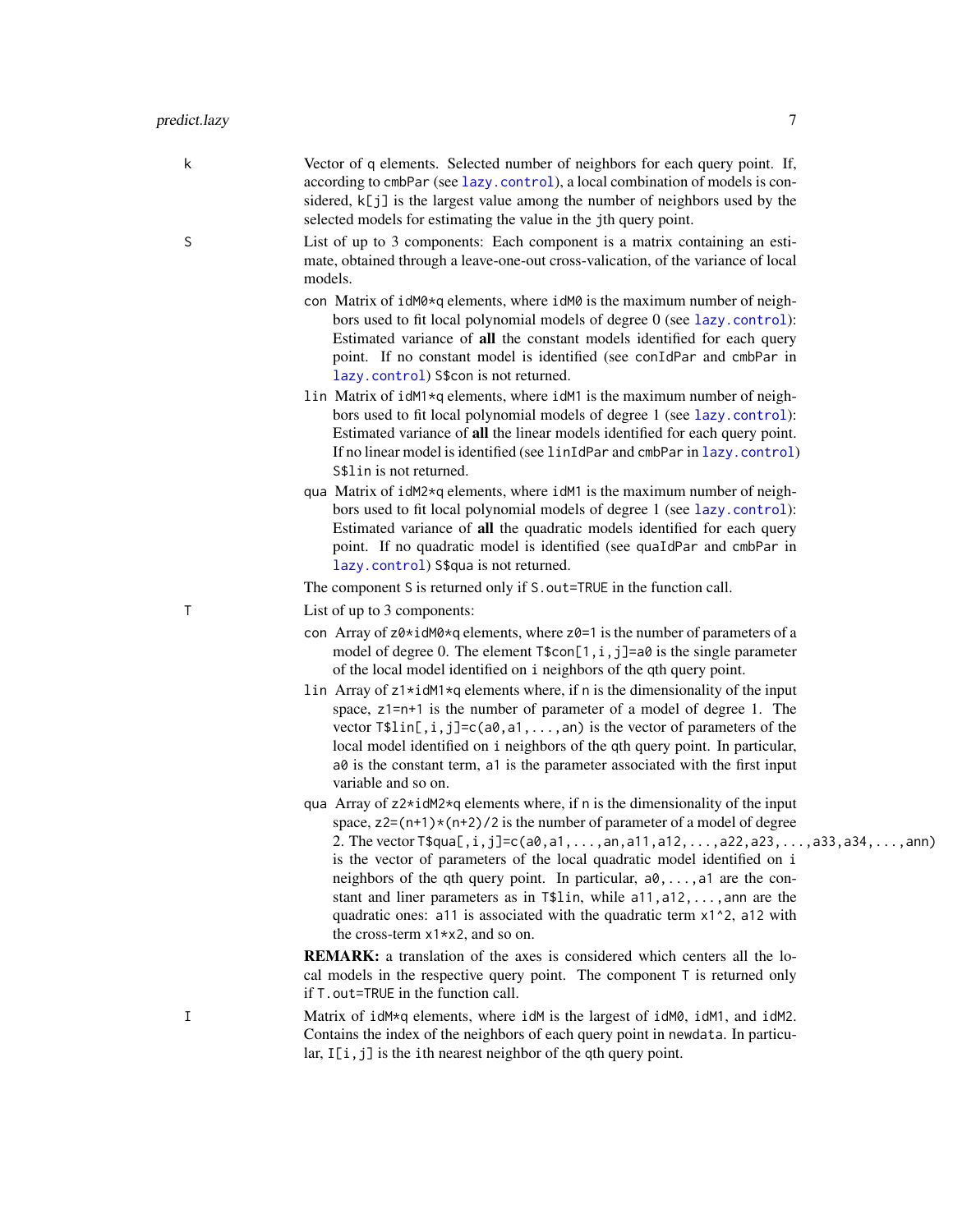- k Vector of q elements. Selected number of neighbors for each query point. If, according to cmbPar (see [lazy.control](#page-2-1)), a local combination of models is considered,  $k[i]$  is the largest value among the number of neighbors used by the selected models for estimating the value in the jth query point.
- S List of up to 3 components: Each component is a matrix containing an estimate, obtained through a leave-one-out cross-valication, of the variance of local models.
	- con Matrix of idM0\*q elements, where idM0 is the maximum number of neighbors used to fit local polynomial models of degree 0 (see [lazy.control](#page-2-1)): Estimated variance of all the constant models identified for each query point. If no constant model is identified (see conIdPar and cmbPar in [lazy.control](#page-2-1)) S\$con is not returned.
	- lin Matrix of idM1\*q elements, where idM1 is the maximum number of neighbors used to fit local polynomial models of degree 1 (see [lazy.control](#page-2-1)): Estimated variance of all the linear models identified for each query point. If no linear model is identified (see linIdPar and cmbPar in [lazy.control](#page-2-1)) S\$lin is not returned.
	- qua Matrix of idM2\*q elements, where idM1 is the maximum number of neighbors used to fit local polynomial models of degree 1 (see [lazy.control](#page-2-1)): Estimated variance of all the quadratic models identified for each query point. If no quadratic model is identified (see quaIdPar and cmbPar in [lazy.control](#page-2-1)) S\$qua is not returned.

The component S is returned only if S.out=TRUE in the function call.

- T List of up to 3 components:
	- con Array of  $z0*$ idM0\*q elements, where  $z0=1$  is the number of parameters of a model of degree 0. The element  $\text{Iscon}[1,i,j]=a\theta$  is the single parameter of the local model identified on i neighbors of the qth query point.
	- lin Array of z1\*idM1\*q elements where, if n is the dimensionality of the input space, z1=n+1 is the number of parameter of a model of degree 1. The vector  $T$lin[, i,j]=c(a0,a1,...,an)$  is the vector of parameters of the local model identified on i neighbors of the qth query point. In particular,  $a\theta$  is the constant term,  $a\theta$  is the parameter associated with the first input variable and so on.
	- qua Array of z2\*idM2\*q elements where, if n is the dimensionality of the input space,  $z2=(n+1)*(n+2)/2$  is the number of parameter of a model of degree 2. The vector  $T$ \$qua[,i,j]=c(a0,a1,...,an,a11,a12,...,a22,a23,...,a33,a34,...,ann) is the vector of parameters of the local quadratic model identified on i neighbors of the qth query point. In particular,  $a_0, \ldots, a_n$  are the constant and liner parameters as in T\$lin, while a11,a12,...,ann are the quadratic ones: a11 is associated with the quadratic term x1^2, a12 with the cross-term x1\*x2, and so on.

REMARK: a translation of the axes is considered which centers all the local models in the respective query point. The component T is returned only if T.out=TRUE in the function call.

I Matrix of idM\*q elements, where idM is the largest of idM0, idM1, and idM2. Contains the index of the neighbors of each query point in newdata. In particular,  $I[i, j]$  is the ith nearest neighbor of the qth query point.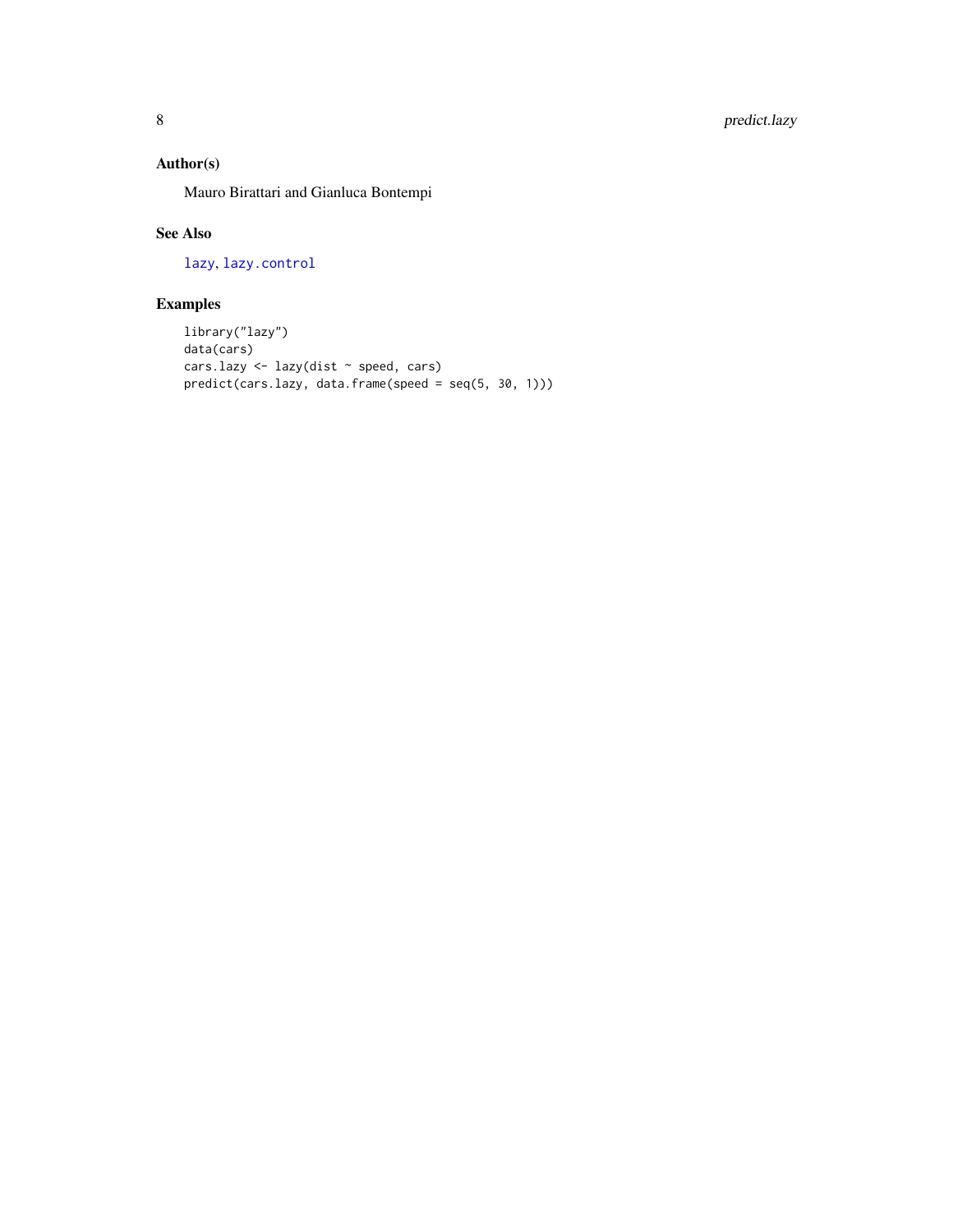### <span id="page-7-0"></span>Author(s)

Mauro Birattari and Gianluca Bontempi

#### See Also

[lazy](#page-1-1), [lazy.control](#page-2-1)

### Examples

```
library("lazy")
data(cars)
cars.lazy <- lazy(dist ~ speed, cars)
predict(cars.lazy, data.frame(speed = seq(5, 30, 1)))
```